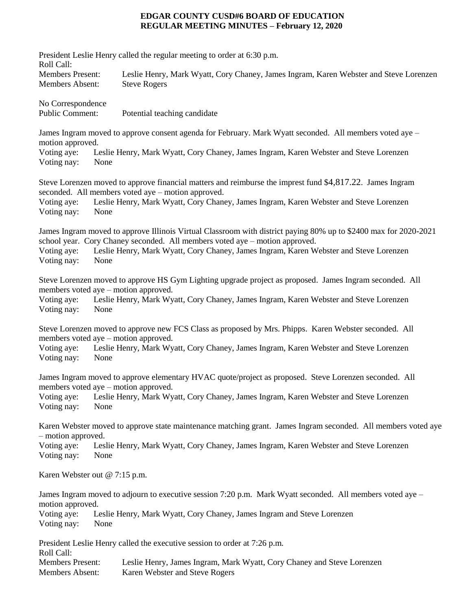## **EDGAR COUNTY CUSD#6 BOARD OF EDUCATION REGULAR MEETING MINUTES – February 12, 2020**

| Roll Call:<br><b>Members Present:</b><br>Leslie Henry, Mark Wyatt, Cory Chaney, James Ingram, Karen Webster and Steve Lorenzen<br><b>Members Absent:</b><br><b>Steve Rogers</b><br>No Correspondence<br><b>Public Comment:</b><br>Potential teaching candidate<br>James Ingram moved to approve consent agenda for February. Mark Wyatt seconded. All members voted aye –<br>motion approved.<br>Voting aye:<br>Leslie Henry, Mark Wyatt, Cory Chaney, James Ingram, Karen Webster and Steve Lorenzen<br>Voting nay:<br>None<br>Steve Lorenzen moved to approve financial matters and reimburse the imprest fund \$4,817.22. James Ingram<br>seconded. All members voted aye – motion approved.<br>Leslie Henry, Mark Wyatt, Cory Chaney, James Ingram, Karen Webster and Steve Lorenzen<br>Voting aye:<br>Voting nay:<br>None<br>James Ingram moved to approve Illinois Virtual Classroom with district paying 80% up to \$2400 max for 2020-2021<br>school year. Cory Chaney seconded. All members voted aye – motion approved.<br>Leslie Henry, Mark Wyatt, Cory Chaney, James Ingram, Karen Webster and Steve Lorenzen<br>Voting aye:<br>Voting nay:<br>None<br>Steve Lorenzen moved to approve HS Gym Lighting upgrade project as proposed. James Ingram seconded. All<br>members voted aye – motion approved.<br>Leslie Henry, Mark Wyatt, Cory Chaney, James Ingram, Karen Webster and Steve Lorenzen<br>Voting aye:<br>Voting nay:<br>None<br>Steve Lorenzen moved to approve new FCS Class as proposed by Mrs. Phipps. Karen Webster seconded. All<br>members voted aye – motion approved.<br>Voting aye:<br>Leslie Henry, Mark Wyatt, Cory Chaney, James Ingram, Karen Webster and Steve Lorenzen<br>Voting nay:<br>None<br>James Ingram moved to approve elementary HVAC quote/project as proposed. Steve Lorenzen seconded. All<br>members voted aye - motion approved.<br>Leslie Henry, Mark Wyatt, Cory Chaney, James Ingram, Karen Webster and Steve Lorenzen<br>Voting aye:<br>Voting nay:<br>None |
|--------------------------------------------------------------------------------------------------------------------------------------------------------------------------------------------------------------------------------------------------------------------------------------------------------------------------------------------------------------------------------------------------------------------------------------------------------------------------------------------------------------------------------------------------------------------------------------------------------------------------------------------------------------------------------------------------------------------------------------------------------------------------------------------------------------------------------------------------------------------------------------------------------------------------------------------------------------------------------------------------------------------------------------------------------------------------------------------------------------------------------------------------------------------------------------------------------------------------------------------------------------------------------------------------------------------------------------------------------------------------------------------------------------------------------------------------------------------------------------------------------------------------------------------------------------------------------------------------------------------------------------------------------------------------------------------------------------------------------------------------------------------------------------------------------------------------------------------------------------------------------------------------------------------------------------------------------------------------------------------------------------------|
|                                                                                                                                                                                                                                                                                                                                                                                                                                                                                                                                                                                                                                                                                                                                                                                                                                                                                                                                                                                                                                                                                                                                                                                                                                                                                                                                                                                                                                                                                                                                                                                                                                                                                                                                                                                                                                                                                                                                                                                                                    |
|                                                                                                                                                                                                                                                                                                                                                                                                                                                                                                                                                                                                                                                                                                                                                                                                                                                                                                                                                                                                                                                                                                                                                                                                                                                                                                                                                                                                                                                                                                                                                                                                                                                                                                                                                                                                                                                                                                                                                                                                                    |
|                                                                                                                                                                                                                                                                                                                                                                                                                                                                                                                                                                                                                                                                                                                                                                                                                                                                                                                                                                                                                                                                                                                                                                                                                                                                                                                                                                                                                                                                                                                                                                                                                                                                                                                                                                                                                                                                                                                                                                                                                    |
|                                                                                                                                                                                                                                                                                                                                                                                                                                                                                                                                                                                                                                                                                                                                                                                                                                                                                                                                                                                                                                                                                                                                                                                                                                                                                                                                                                                                                                                                                                                                                                                                                                                                                                                                                                                                                                                                                                                                                                                                                    |
|                                                                                                                                                                                                                                                                                                                                                                                                                                                                                                                                                                                                                                                                                                                                                                                                                                                                                                                                                                                                                                                                                                                                                                                                                                                                                                                                                                                                                                                                                                                                                                                                                                                                                                                                                                                                                                                                                                                                                                                                                    |
|                                                                                                                                                                                                                                                                                                                                                                                                                                                                                                                                                                                                                                                                                                                                                                                                                                                                                                                                                                                                                                                                                                                                                                                                                                                                                                                                                                                                                                                                                                                                                                                                                                                                                                                                                                                                                                                                                                                                                                                                                    |
|                                                                                                                                                                                                                                                                                                                                                                                                                                                                                                                                                                                                                                                                                                                                                                                                                                                                                                                                                                                                                                                                                                                                                                                                                                                                                                                                                                                                                                                                                                                                                                                                                                                                                                                                                                                                                                                                                                                                                                                                                    |
|                                                                                                                                                                                                                                                                                                                                                                                                                                                                                                                                                                                                                                                                                                                                                                                                                                                                                                                                                                                                                                                                                                                                                                                                                                                                                                                                                                                                                                                                                                                                                                                                                                                                                                                                                                                                                                                                                                                                                                                                                    |
| Karen Webster moved to approve state maintenance matching grant. James Ingram seconded. All members voted aye                                                                                                                                                                                                                                                                                                                                                                                                                                                                                                                                                                                                                                                                                                                                                                                                                                                                                                                                                                                                                                                                                                                                                                                                                                                                                                                                                                                                                                                                                                                                                                                                                                                                                                                                                                                                                                                                                                      |
| - motion approved.<br>Voting aye:<br>Leslie Henry, Mark Wyatt, Cory Chaney, James Ingram, Karen Webster and Steve Lorenzen<br>Voting nay:<br>None                                                                                                                                                                                                                                                                                                                                                                                                                                                                                                                                                                                                                                                                                                                                                                                                                                                                                                                                                                                                                                                                                                                                                                                                                                                                                                                                                                                                                                                                                                                                                                                                                                                                                                                                                                                                                                                                  |
| Karen Webster out @ 7:15 p.m.                                                                                                                                                                                                                                                                                                                                                                                                                                                                                                                                                                                                                                                                                                                                                                                                                                                                                                                                                                                                                                                                                                                                                                                                                                                                                                                                                                                                                                                                                                                                                                                                                                                                                                                                                                                                                                                                                                                                                                                      |
| James Ingram moved to adjourn to executive session 7:20 p.m. Mark Wyatt seconded. All members voted aye –<br>motion approved.<br>Voting aye:<br>Leslie Henry, Mark Wyatt, Cory Chaney, James Ingram and Steve Lorenzen                                                                                                                                                                                                                                                                                                                                                                                                                                                                                                                                                                                                                                                                                                                                                                                                                                                                                                                                                                                                                                                                                                                                                                                                                                                                                                                                                                                                                                                                                                                                                                                                                                                                                                                                                                                             |
| Voting nay:<br>None<br>President Leslie Henry called the executive session to order at 7:26 p.m.<br>Roll Call:<br><b>Members Present:</b><br>Leslie Henry, James Ingram, Mark Wyatt, Cory Chaney and Steve Lorenzen<br><b>Members Absent:</b><br>Karen Webster and Steve Rogers                                                                                                                                                                                                                                                                                                                                                                                                                                                                                                                                                                                                                                                                                                                                                                                                                                                                                                                                                                                                                                                                                                                                                                                                                                                                                                                                                                                                                                                                                                                                                                                                                                                                                                                                    |